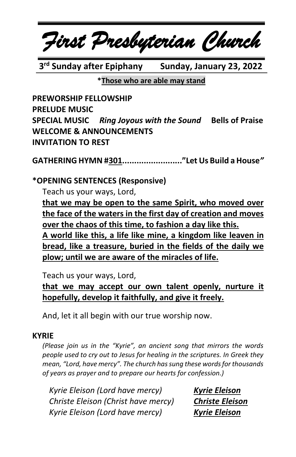

**3 rd Sunday after Epiphany Sunday, January 23, 2022**

**\*Those who are able may stand**

**PREWORSHIP FELLOWSHIP PRELUDE MUSIC SPECIAL MUSIC** *Ring Joyous with the Sound* **Bells of Praise WELCOME & ANNOUNCEMENTS INVITATION TO REST**

**GATHERING HYMN #301........................."Let Us Build a House***"*

#### **\*OPENING SENTENCES (Responsive)**

Teach us your ways, Lord,

**that we may be open to the same Spirit, who moved over the face of the waters in the first day of creation and moves over the chaos of this time, to fashion a day like this. A world like this, a life like mine, a kingdom like leaven in bread, like a treasure, buried in the fields of the daily we plow; until we are aware of the miracles of life.**

Teach us your ways, Lord,

**that we may accept our own talent openly, nurture it hopefully, develop it faithfully, and give it freely.**

And, let it all begin with our true worship now.

#### **KYRIE**

*(Please join us in the "Kyrie", an ancient song that mirrors the words people used to cry out to Jesus for healing in the scriptures. In Greek they mean, "Lord, have mercy". The church has sung these words for thousands of years as prayer and to prepare our hearts for confession.)*

*Kyrie Eleison (Lord have mercy) Kyrie Eleison Christe Eleison (Christ have mercy) Christe Eleison Kyrie Eleison (Lord have mercy) Kyrie Eleison*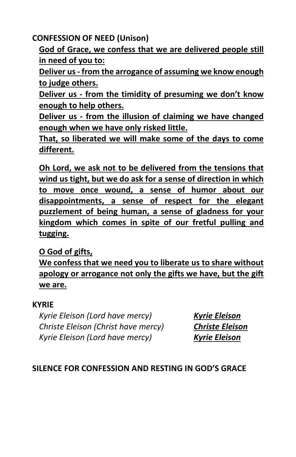**CONFESSION OF NEED (Unison)**

**God of Grace, we confess that we are delivered people still in need of you to:**

**Deliver us- from the arrogance of assuming we know enough to judge others.** 

**Deliver us - from the timidity of presuming we don't know enough to help others.**

**Deliver us - from the illusion of claiming we have changed enough when we have only risked little.**

**That, so liberated we will make some of the days to come different.**

**Oh Lord, we ask not to be delivered from the tensions that wind us tight, but we do ask for a sense of direction in which to move once wound, a sense of humor about our disappointments, a sense of respect for the elegant puzzlement of being human, a sense of gladness for your kingdom which comes in spite of our fretful pulling and tugging.**

**O God of gifts,**

**We confess that we need you to liberate us to share without apology or arrogance not only the gifts we have, but the gift we are.**

#### **KYRIE**

*Kyrie Eleison (Lord have mercy) Kyrie Eleison Christe Eleison (Christ have mercy) Christe Eleison Kyrie Eleison (Lord have mercy) Kyrie Eleison*

## **SILENCE FOR CONFESSION AND RESTING IN GOD'S GRACE**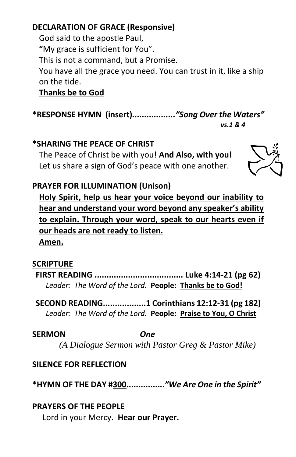## **DECLARATION OF GRACE (Responsive)**

God said to the apostle Paul, **"**My grace is sufficient for You". This is not a command, but a Promise. You have all the grace you need. You can trust in it, like a ship on the tide.

## **Thanks be to God**

**\*RESPONSE HYMN (insert)***.................."Song Over the Waters" vs.1 & 4*

#### **\*SHARING THE PEACE OF CHRIST**

The Peace of Christ be with you! **And Also, with you!** Let us share a sign of God's peace with one another.



## **PRAYER FOR ILLUMINATION (Unison)**

**Holy Spirit, help us hear your voice beyond our inability to hear and understand your word beyond any speaker's ability to explain. Through your word, speak to our hearts even if our heads are not ready to listen.**

**Amen.**

## **SCRIPTURE**

**FIRST READING ..................................... Luke 4:14-21 (pg 62)** *Leader: The Word of the Lord.* **People: Thanks be to God!**

**SECOND READING..................1 Corinthians 12:12-31 (pg 182)** *Leader: The Word of the Lord.* **People: Praise to You, O Christ**

**SERMON** *One*

*(A Dialogue Sermon with Pastor Greg & Pastor Mike)*

## **SILENCE FOR REFLECTION**

**\*HYMN OF THE DAY #300................***"We Are One in the Spirit"*

## **PRAYERS OF THE PEOPLE**

Lord in your Mercy. **Hear our Prayer.**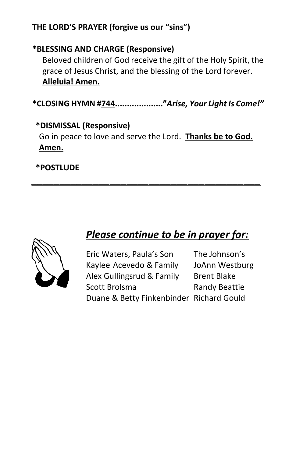## **THE LORD'S PRAYER (forgive us our "sins")**

## **\*BLESSING AND CHARGE (Responsive)**

Beloved children of God receive the gift of the Holy Spirit, the grace of Jesus Christ, and the blessing of the Lord forever. **Alleluia! Amen.**

**\*CLOSING HYMN #744...................."***Arise, Your Light Is Come!"*

## **\*DISMISSAL (Responsive)**

Go in peace to love and serve the Lord. **Thanks be to God. Amen.**

*\_\_\_\_\_\_\_\_\_\_\_\_\_\_\_\_\_\_\_\_\_\_\_\_\_\_\_\_\_\_\_\_\_\_\_\_\_\_\_\_\_*

## **\*POSTLUDE**



# *Please continue to be in prayer for:*

| Eric Waters, Paula's Son                 | The Johnson's        |
|------------------------------------------|----------------------|
| Kaylee Acevedo & Family                  | JoAnn Westburg       |
| Alex Gullingsrud & Family                | <b>Brent Blake</b>   |
| Scott Brolsma                            | <b>Randy Beattie</b> |
| Duane & Betty Finkenbinder Richard Gould |                      |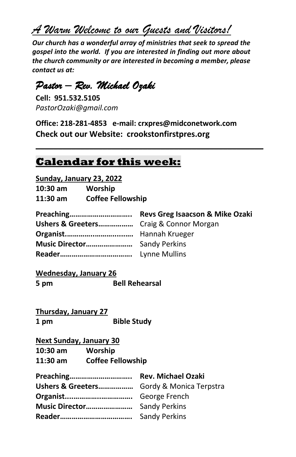*A Warm Welcome to our Guests and Visitors!*

*Our church has a wonderful array of ministries that seek to spread the gospel into the world. If you are interested in finding out more about the church community or are interested in becoming a member, please contact us at:*

# *Pastor – Rev. Michael Ozaki*

**Cell: 951.532.5105** *PastorOzaki@gmail.com*

**Office: 218-281-4853 e-mail: crxpres@midconetwork.com Check out our Website: crookstonfirstpres.org**

 $\mathcal{L} = \{ \mathcal{L} \mid \mathcal{L} \in \mathcal{L} \}$ 

## **Calendar for this week:**

**Sunday, January 23, 2022**

| 10:30 am | Worship                  |
|----------|--------------------------|
| 11:30 am | <b>Coffee Fellowship</b> |

| Ushers & Greeters Craig & Connor Morgan |  |
|-----------------------------------------|--|
|                                         |  |
|                                         |  |
|                                         |  |

**Wednesday, January 26 5 pm Bell Rehearsal**

**Thursday, January 27 1 pm Bible Study**

#### **Next Sunday, January 30**

**10:30 am Worship**

**11:30 am Coffee Fellowship** 

| Ushers & Greeters Gordy & Monica Terpstra |  |
|-------------------------------------------|--|
|                                           |  |
|                                           |  |
|                                           |  |